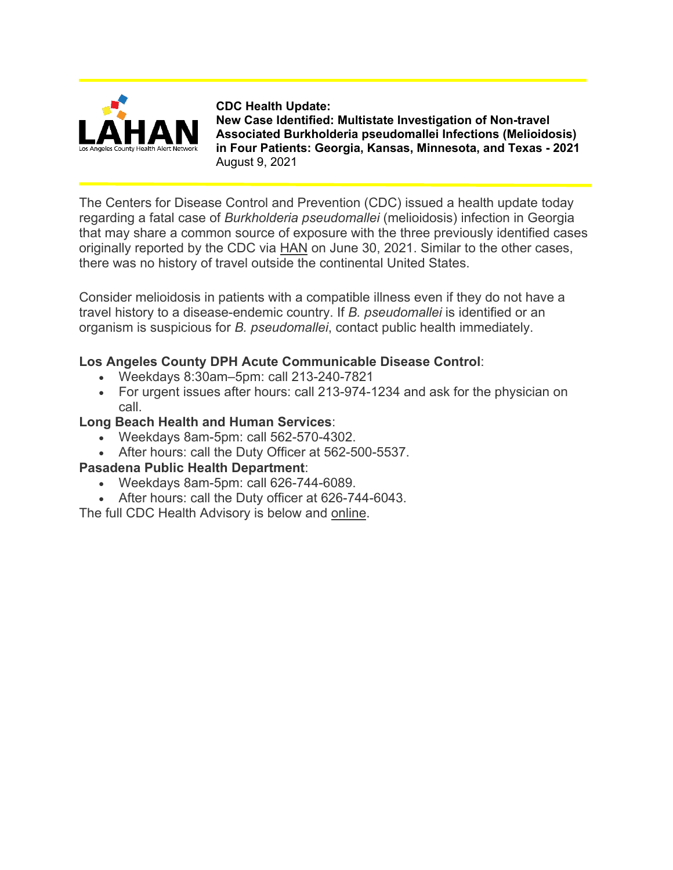

**CDC Health Update: New Case Identified: Multistate Investigation of Non-travel Associated Burkholderia pseudomallei Infections (Melioidosis) in Four Patients: Georgia, Kansas, Minnesota, and Texas - 2021** August 9, 2021

The Centers for Disease Control and Prevention (CDC) issued a health update today regarding a fatal case of *Burkholderia pseudomallei* (melioidosis) infection in Georgia that may share a common source of exposure with the three previously identified cases originally reported by the CDC via [HAN](https://t.e2ma.net/click/b5hmus/fcmhgg/rp41q8e) on June 30, 2021. Similar to the other cases, there was no history of travel outside the continental United States.

Consider melioidosis in patients with a compatible illness even if they do not have a travel history to a disease-endemic country. If *B. pseudomallei* is identified or an organism is suspicious for *B. pseudomallei*, contact public health immediately.

## **Los Angeles County DPH Acute Communicable Disease Control**:

- Weekdays 8:30am–5pm: call 213-240-7821
- For urgent issues after hours: call 213-974-1234 and ask for the physician on call.

## **Long Beach Health and Human Services**:

- Weekdays 8am-5pm: call 562-570-4302.
- After hours: call the Duty Officer at 562-500-5537.

## **Pasadena Public Health Department**:

- Weekdays 8am-5pm: call 626-744-6089.
- After hours: call the Duty officer at 626-744-6043.

The full CDC Health Advisory is below and [online.](https://t.e2ma.net/click/b5hmus/fcmhgg/7h51q8e)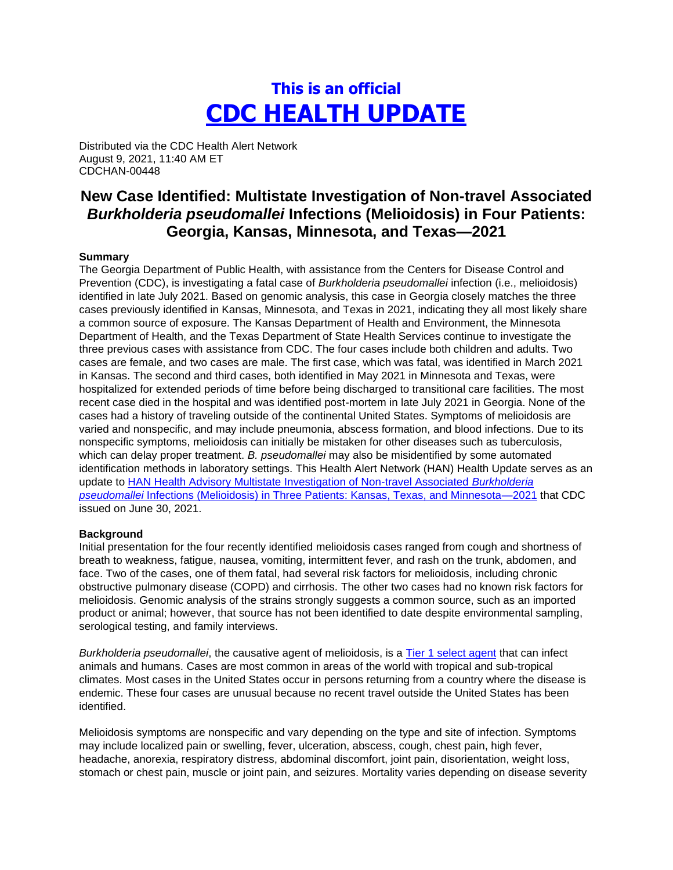# **This is an official CDC HEALTH UPDATE**

Distributed via the CDC Health Alert Network August 9, 2021, 11:40 AM ET CDCHAN-00448

## **New Case Identified: Multistate Investigation of Non-travel Associated**  *Burkholderia pseudomallei* **Infections (Melioidosis) in Four Patients: Georgia, Kansas, Minnesota, and Texas—2021**

#### **Summary**

The Georgia Department of Public Health, with assistance from the Centers for Disease Control and Prevention (CDC), is investigating a fatal case of *Burkholderia pseudomallei* infection (i.e., melioidosis) identified in late July 2021. Based on genomic analysis, this case in Georgia closely matches the three cases previously identified in Kansas, Minnesota, and Texas in 2021, indicating they all most likely share a common source of exposure. The Kansas Department of Health and Environment, the Minnesota Department of Health, and the Texas Department of State Health Services continue to investigate the three previous cases with assistance from CDC. The four cases include both children and adults. Two cases are female, and two cases are male. The first case, which was fatal, was identified in March 2021 in Kansas. The second and third cases, both identified in May 2021 in Minnesota and Texas, were hospitalized for extended periods of time before being discharged to transitional care facilities. The most recent case died in the hospital and was identified post-mortem in late July 2021 in Georgia. None of the cases had a history of traveling outside of the continental United States. Symptoms of melioidosis are varied and nonspecific, and may include pneumonia, abscess formation, and blood infections. Due to its nonspecific symptoms, melioidosis can initially be mistaken for other diseases such as tuberculosis, which can delay proper treatment. *B. pseudomallei* may also be misidentified by some automated identification methods in laboratory settings. This Health Alert Network (HAN) Health Update serves as an update to [HAN Health Advisory Multistate Investigation of Non-travel Associated](https://emergency.cdc.gov/han/2021/han00444.asp) *Burkholderia pseudomallei* [Infections \(Melioidosis\) in Three Patients: Kansas, Texas, and Minnesota—2021](https://emergency.cdc.gov/han/2021/han00444.asp) that CDC issued on June 30, 2021.

#### **Background**

Initial presentation for the four recently identified melioidosis cases ranged from cough and shortness of breath to weakness, fatigue, nausea, vomiting, intermittent fever, and rash on the trunk, abdomen, and face. Two of the cases, one of them fatal, had several risk factors for melioidosis, including chronic obstructive pulmonary disease (COPD) and cirrhosis. The other two cases had no known risk factors for melioidosis. Genomic analysis of the strains strongly suggests a common source, such as an imported product or animal; however, that source has not been identified to date despite environmental sampling, serological testing, and family interviews.

*Burkholderia pseudomallei*, the causative agent of melioidosis, is a [Tier 1 select agent](https://www.selectagents.gov/compliance/guidance/security-plan/section11f.htm) that can infect animals and humans. Cases are most common in areas of the world with tropical and sub-tropical climates. Most cases in the United States occur in persons returning from a country where the disease is endemic. These four cases are unusual because no recent travel outside the United States has been identified.

Melioidosis symptoms are nonspecific and vary depending on the type and site of infection. Symptoms may include localized pain or swelling, fever, ulceration, abscess, cough, chest pain, high fever, headache, anorexia, respiratory distress, abdominal discomfort, joint pain, disorientation, weight loss, stomach or chest pain, muscle or joint pain, and seizures. Mortality varies depending on disease severity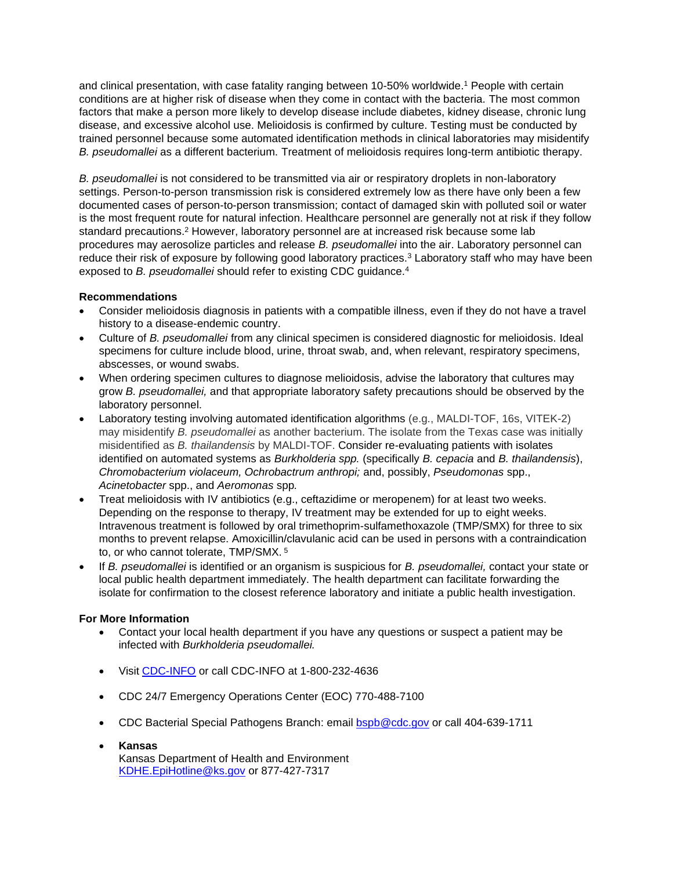and clinical presentation, with case fatality ranging between 10-50% worldwide.<sup>1</sup> People with certain conditions are at higher risk of disease when they come in contact with the bacteria. The most common factors that make a person more likely to develop disease include diabetes, kidney disease, chronic lung disease, and excessive alcohol use. Melioidosis is confirmed by culture. Testing must be conducted by trained personnel because some automated identification methods in clinical laboratories may misidentify *B. pseudomallei* as a different bacterium. Treatment of melioidosis requires long-term antibiotic therapy.

*B. pseudomallei* is not considered to be transmitted via air or respiratory droplets in non-laboratory settings. Person-to-person transmission risk is considered extremely low as there have only been a few documented cases of person-to-person transmission; contact of damaged skin with polluted soil or water is the most frequent route for natural infection. Healthcare personnel are generally not at risk if they follow standard precautions.<sup>2</sup> However, laboratory personnel are at increased risk because some lab procedures may aerosolize particles and release *B. pseudomallei* into the air. Laboratory personnel can reduce their risk of exposure by following good laboratory practices.<sup>3</sup> Laboratory staff who may have been exposed to *B. pseudomallei* should refer to existing CDC guidance.<sup>4</sup>

### **Recommendations**

- Consider melioidosis diagnosis in patients with a compatible illness, even if they do not have a travel history to a disease-endemic country.
- Culture of *B. pseudomallei* from any clinical specimen is considered diagnostic for melioidosis. Ideal specimens for culture include blood, urine, throat swab, and, when relevant, respiratory specimens, abscesses, or wound swabs.
- When ordering specimen cultures to diagnose melioidosis, advise the laboratory that cultures may grow *B. pseudomallei,* and that appropriate laboratory safety precautions should be observed by the laboratory personnel.
- Laboratory testing involving automated identification algorithms (e.g., MALDI-TOF, 16s, VITEK-2) may misidentify *B. pseudomallei* as another bacterium. The isolate from the Texas case was initially misidentified as *B. thailandensis* by MALDI-TOF. Consider re-evaluating patients with isolates identified on automated systems as *Burkholderia spp.* (specifically *B. cepacia* and *B. thailandensis*), *Chromobacterium violaceum, Ochrobactrum anthropi;* and, possibly, *Pseudomonas* spp., *Acinetobacter* spp., and *Aeromonas* spp*.*
- Treat melioidosis with IV antibiotics (e.g., ceftazidime or meropenem) for at least two weeks. Depending on the response to therapy, IV treatment may be extended for up to eight weeks. Intravenous treatment is followed by oral trimethoprim-sulfamethoxazole (TMP/SMX) for three to six months to prevent relapse. Amoxicillin/clavulanic acid can be used in persons with a contraindication to, or who cannot tolerate, TMP/SMX. <sup>5</sup>
- If *B. pseudomallei* is identified or an organism is suspicious for *B. pseudomallei,* contact your state or local public health department immediately. The health department can facilitate forwarding the isolate for confirmation to the closest reference laboratory and initiate a public health investigation.

### **For More Information**

- Contact your local health department if you have any questions or suspect a patient may be infected with *Burkholderia pseudomallei.*
- Visit [CDC-INFO](https://www.cdc.gov/cdc-info/index.html) or call CDC-INFO at 1-800-232-4636
- CDC 24/7 Emergency Operations Center (EOC) 770-488-7100
- CDC Bacterial Special Pathogens Branch: email [bspb@cdc.gov](mailto:bspb@cdc.gov) or call 404-639-1711
- **Kansas** Kansas Department of Health and Environment [KDHE.EpiHotline@ks.gov](mailto:KDHE.EpiHotline@ks.gov) or 877-427-7317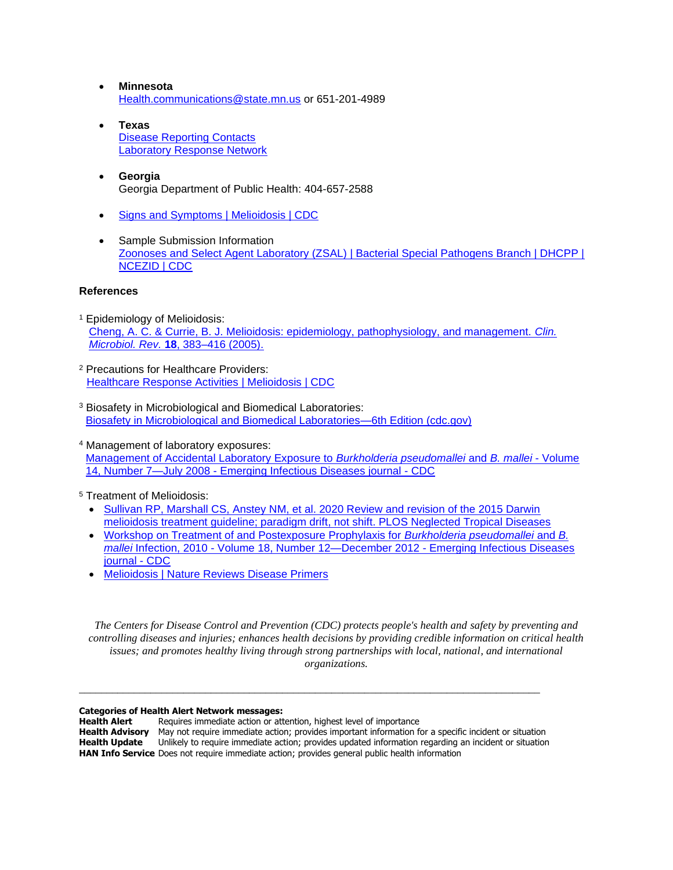- **Minnesota** [Health.communications@state.mn.us](mailto:Health.communications@state.mn.us) or 651-201-4989
- **Texas** [Disease Reporting Contacts](https://www.dshs.texas.gov/IDCU/investigation/conditions/Disease-Reporting-Contacts.aspx)  [Laboratory Response Network](https://www.dshs.texas.gov/lab/eprLRN.shtm)
- **Georgia** Georgia Department of Public Health: 404-657-2588
- [Signs and Symptoms | Melioidosis | CDC](https://www.cdc.gov/melioidosis/symptoms/index.html)
- Sample Submission Information [Zoonoses and Select Agent Laboratory \(ZSAL\) | Bacterial Special Pathogens Branch | DHCPP |](https://www.cdc.gov/ncezid/dhcpp/bacterial_special/zoonoses_lab.html)  [NCEZID | CDC](https://www.cdc.gov/ncezid/dhcpp/bacterial_special/zoonoses_lab.html)

#### **References**

- <sup>1</sup> Epidemiology of Melioidosis: [Cheng, A. C. & Currie, B. J. Melioidosis: epidemiology, pathophysiology, and management.](https://journals.asm.org/doi/full/10.1128/CMR.18.2.383-416.2005) *Clin. Microbiol. Rev.* **18**[, 383–416 \(2005\).](https://journals.asm.org/doi/full/10.1128/CMR.18.2.383-416.2005)
- <sup>2</sup> Precautions for Healthcare Providers: [Healthcare Response Activities | Melioidosis | CDC](https://www.cdc.gov/melioidosis/bioterrorism-response-planning/healthcare-response-activities.html)
- <sup>3</sup> Biosafety in Microbiological and Biomedical Laboratories: [Biosafety in Microbiological and Biomedical Laboratories—6th Edition \(cdc.gov\)](https://www.cdc.gov/labs/pdf/SF__19_308133-A_BMBL6_00-BOOK-WEB-final-3.pdf)
- <sup>4</sup> Management of laboratory exposures: [Management of Accidental Laboratory Exposure to](https://wwwnc.cdc.gov/eid/article/14/7/07-1501_article) *Burkholderia pseudomallei* and *B. mallei* - Volume 14, Number 7—July 2008 - [Emerging Infectious Diseases journal -](https://wwwnc.cdc.gov/eid/article/14/7/07-1501_article) CDC
- <sup>5</sup> Treatment of Melioidosis:
	- [Sullivan RP, Marshall CS, Anstey NM, et al. 2020 Review and revision of the 2015 Darwin](https://journals.plos.org/plosntds/article?id=10.1371/journal.pntd.0008659)  [melioidosis treatment guideline; paradigm drift,](https://journals.plos.org/plosntds/article?id=10.1371/journal.pntd.0008659) not shift. PLOS Neglected Tropical Diseases
	- [Workshop on Treatment of and Postexposure Prophylaxis for](https://wwwnc.cdc.gov/eid/article/18/12/12-0638_article) *Burkholderia pseudomallei* and *B. mallei* Infection, 2010 - [Volume 18, Number 12—December 2012 -](https://wwwnc.cdc.gov/eid/article/18/12/12-0638_article) Emerging Infectious Diseases [journal -](https://wwwnc.cdc.gov/eid/article/18/12/12-0638_article) CDC
	- [Melioidosis | Nature Reviews Disease Primers](https://www.nature.com/articles/nrdp2017107)

*The Centers for Disease Control and Prevention (CDC) protects people's health and safety by preventing and controlling diseases and injuries; enhances health decisions by providing credible information on critical health issues; and promotes healthy living through strong partnerships with local, national, and international organizations.*

#### **Categories of Health Alert Network messages:**

**Health Alert** Requires immediate action or attention, highest level of importance **Health Advisory** May not require immediate action; provides important information for a specific incident or situation<br>**Health Update** Unlikely to require immediate action: provides updated information regarding an incide **Health Update** Unlikely to require immediate action; provides updated information regarding an incident or situation **HAN Info Service** Does not require immediate action; provides general public health information

\_\_\_\_\_\_\_\_\_\_\_\_\_\_\_\_\_\_\_\_\_\_\_\_\_\_\_\_\_\_\_\_\_\_\_\_\_\_\_\_\_\_\_\_\_\_\_\_\_\_\_\_\_\_\_\_\_\_\_\_\_\_\_\_\_\_\_\_\_\_\_\_\_\_\_\_\_\_\_\_\_\_\_\_